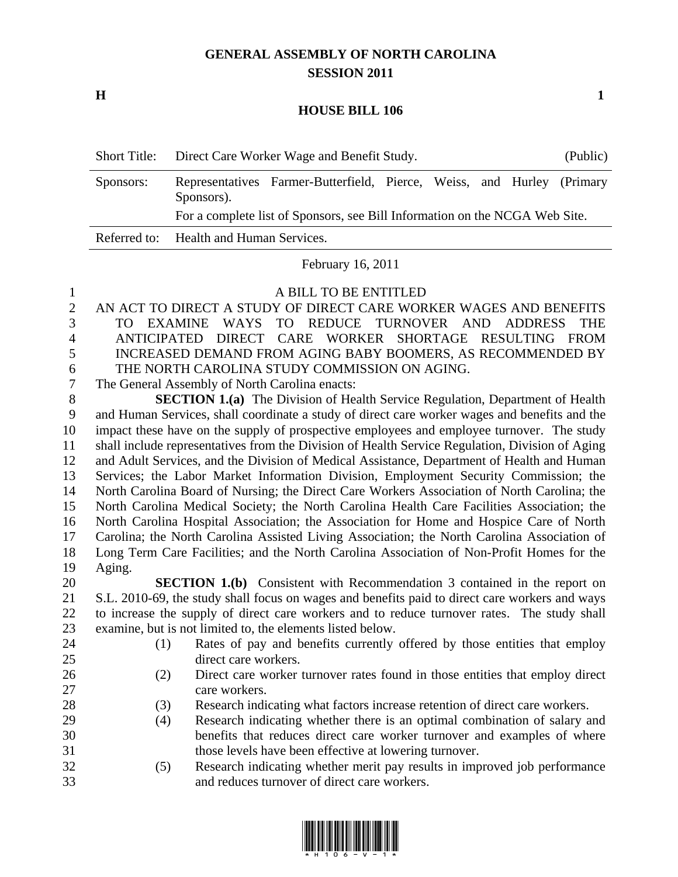## **GENERAL ASSEMBLY OF NORTH CAROLINA SESSION 2011**

**H 1**

## **HOUSE BILL 106**

|           | Short Title: Direct Care Worker Wage and Benefit Study. |                                                                             |  |  | (Public) |  |  |
|-----------|---------------------------------------------------------|-----------------------------------------------------------------------------|--|--|----------|--|--|
| Sponsors: | Sponsors).                                              | Representatives Farmer-Butterfield, Pierce, Weiss, and Hurley (Primary      |  |  |          |  |  |
|           |                                                         | For a complete list of Sponsors, see Bill Information on the NCGA Web Site. |  |  |          |  |  |
|           | Referred to: Health and Human Services.                 |                                                                             |  |  |          |  |  |

February 16, 2011

## A BILL TO BE ENTITLED

- AN ACT TO DIRECT A STUDY OF DIRECT CARE WORKER WAGES AND BENEFITS TO EXAMINE WAYS TO REDUCE TURNOVER AND ADDRESS THE ANTICIPATED DIRECT CARE WORKER SHORTAGE RESULTING FROM INCREASED DEMAND FROM AGING BABY BOOMERS, AS RECOMMENDED BY THE NORTH CAROLINA STUDY COMMISSION ON AGING.
- The General Assembly of North Carolina enacts:

 **SECTION 1.(a)** The Division of Health Service Regulation, Department of Health and Human Services, shall coordinate a study of direct care worker wages and benefits and the impact these have on the supply of prospective employees and employee turnover. The study shall include representatives from the Division of Health Service Regulation, Division of Aging and Adult Services, and the Division of Medical Assistance, Department of Health and Human Services; the Labor Market Information Division, Employment Security Commission; the North Carolina Board of Nursing; the Direct Care Workers Association of North Carolina; the North Carolina Medical Society; the North Carolina Health Care Facilities Association; the North Carolina Hospital Association; the Association for Home and Hospice Care of North Carolina; the North Carolina Assisted Living Association; the North Carolina Association of Long Term Care Facilities; and the North Carolina Association of Non-Profit Homes for the Aging.

 **SECTION 1.(b)** Consistent with Recommendation 3 contained in the report on S.L. 2010-69, the study shall focus on wages and benefits paid to direct care workers and ways to increase the supply of direct care workers and to reduce turnover rates. The study shall examine, but is not limited to, the elements listed below.

- 
- 
- (1) Rates of pay and benefits currently offered by those entities that employ direct care workers.
- (2) Direct care worker turnover rates found in those entities that employ direct care workers.
- (3) Research indicating what factors increase retention of direct care workers.
- (4) Research indicating whether there is an optimal combination of salary and benefits that reduces direct care worker turnover and examples of where those levels have been effective at lowering turnover.
- (5) Research indicating whether merit pay results in improved job performance and reduces turnover of direct care workers.